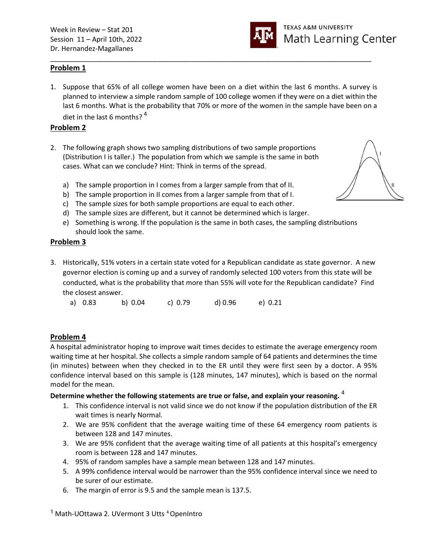

# Problem 1

1. Suppose that 65% of all college women have been on a diet within the last 6 months. A survey is planned to interview a simple random sample of 100 college women if they were on a diet within the last 6 months. What is the probability that 70% or more of the women in the sample have been on a diet in the last 6 months?  $4$ 

\_\_\_\_\_\_\_\_\_\_\_\_\_\_\_\_\_\_\_\_\_\_\_\_\_\_\_\_\_\_\_\_\_\_\_\_\_\_\_\_\_\_\_\_\_\_\_\_\_\_\_\_\_\_\_\_\_\_\_\_\_\_\_\_\_\_\_\_\_\_\_\_\_\_\_\_\_\_\_\_\_\_\_\_

## Problem 2

- 2. The following graph shows two sampling distributions of two sample proportions (Distribution I is taller.) The population from which we sample is the same in both cases. What can we conclude? Hint: Think in terms of the spread.
	- a) The sample proportion in I comes from a larger sample from that of II.
	- b) The sample proportion in II comes from a larger sample from that of I.
	- c) The sample sizes for both sample proportions are equal to each other.
	- d) The sample sizes are different, but it cannot be determined which is larger.
	- e) Something is wrong. If the population is the same in both cases, the sampling distributions should look the same.

### Problem 3

3. Historically, 51% voters in a certain state voted for a Republican candidate as state governor. A new governor election is coming up and a survey of randomly selected 100 voters from this state will be conducted, what is the probability that more than 55% will vote for the Republican candidate? Find the closest answer.

| a) 0.83<br>c) $0.79$<br>b) 0.04 | d) 0.96 | e) 0.21 |
|---------------------------------|---------|---------|
|---------------------------------|---------|---------|

# Problem 4

A hospital administrator hoping to improve wait times decides to estimate the average emergency room waiting time at her hospital. She collects a simple random sample of 64 patients and determines the time (in minutes) between when they checked in to the ER until they were first seen by a doctor. A 95% confidence interval based on this sample is (128 minutes, 147 minutes), which is based on the normal model for the mean.

### Determine whether the following statements are true or false, and explain your reasoning.  $4$

- 1. This confidence interval is not valid since we do not know if the population distribution of the ER wait times is nearly Normal.
- 2. We are 95% confident that the average waiting time of these 64 emergency room patients is between 128 and 147 minutes.
- 3. We are 95% confident that the average waiting time of all patients at this hospital's emergency room is between 128 and 147 minutes.
- 4. 95% of random samples have a sample mean between 128 and 147 minutes.
- 5. A 99% confidence interval would be narrower than the 95% confidence interval since we need to be surer of our estimate.
- 6. The margin of error is 9.5 and the sample mean is 137.5.

<sup>1</sup> Math-UOttawa 2. UVermont 3 Utts <sup>4</sup> OpenIntro